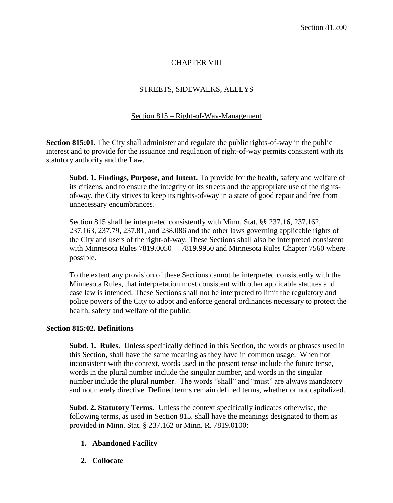## CHAPTER VIII

### STREETS, SIDEWALKS, ALLEYS

# Section 815 – Right-of-Way-Management

**Section 815:01.** The City shall administer and regulate the public rights-of-way in the public interest and to provide for the issuance and regulation of right-of-way permits consistent with its statutory authority and the Law.

**Subd. 1. Findings, Purpose, and Intent.** To provide for the health, safety and welfare of its citizens, and to ensure the integrity of its streets and the appropriate use of the rightsof-way, the City strives to keep its rights-of-way in a state of good repair and free from unnecessary encumbrances.

Section 815 shall be interpreted consistently with Minn. Stat. §§ 237.16, 237.162, 237.163, 237.79, 237.81, and 238.086 and the other laws governing applicable rights of the City and users of the right-of-way. These Sections shall also be interpreted consistent with Minnesota Rules 7819.0050 —7819.9950 and Minnesota Rules Chapter 7560 where possible.

To the extent any provision of these Sections cannot be interpreted consistently with the Minnesota Rules, that interpretation most consistent with other applicable statutes and case law is intended. These Sections shall not be interpreted to limit the regulatory and police powers of the City to adopt and enforce general ordinances necessary to protect the health, safety and welfare of the public.

#### **Section 815:02. Definitions**

**Subd. 1. Rules.** Unless specifically defined in this Section, the words or phrases used in this Section, shall have the same meaning as they have in common usage. When not inconsistent with the context, words used in the present tense include the future tense, words in the plural number include the singular number, and words in the singular number include the plural number. The words "shall" and "must" are always mandatory and not merely directive. Defined terms remain defined terms, whether or not capitalized.

**Subd. 2. Statutory Terms.** Unless the context specifically indicates otherwise, the following terms, as used in Section 815, shall have the meanings designated to them as provided in Minn. Stat. § 237.162 or Minn. R. 7819.0100:

## **1. Abandoned Facility**

**2. Collocate**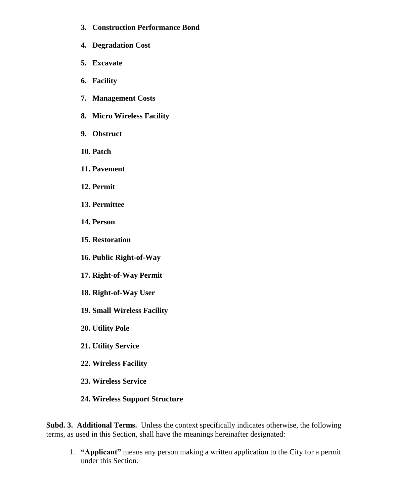- **3. Construction Performance Bond**
- **4. Degradation Cost**
- **5. Excavate**
- **6. Facility**
- **7. Management Costs**
- **8. Micro Wireless Facility**
- **9. Obstruct**
- **10. Patch**
- **11. Pavement**
- **12. Permit**
- **13. Permittee**
- **14. Person**
- **15. Restoration**
- **16. Public Right-of-Way**
- **17. Right-of-Way Permit**
- **18. Right-of-Way User**
- **19. Small Wireless Facility**
- **20. Utility Pole**
- **21. Utility Service**
- **22. Wireless Facility**
- **23. Wireless Service**
- **24. Wireless Support Structure**

**Subd. 3. Additional Terms.** Unless the context specifically indicates otherwise, the following terms, as used in this Section, shall have the meanings hereinafter designated:

1. **"Applicant"** means any person making a written application to the City for a permit under this Section.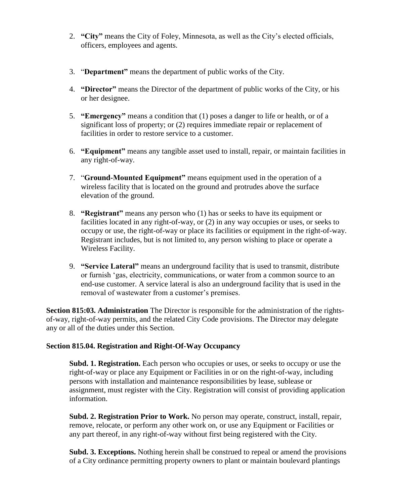- 2. **"City"** means the City of Foley, Minnesota, as well as the City's elected officials, officers, employees and agents.
- 3. "**Department"** means the department of public works of the City.
- 4. **"Director"** means the Director of the department of public works of the City, or his or her designee.
- 5. **"Emergency"** means a condition that (1) poses a danger to life or health, or of a significant loss of property; or (2) requires immediate repair or replacement of facilities in order to restore service to a customer.
- 6. **"Equipment"** means any tangible asset used to install, repair, or maintain facilities in any right-of-way.
- 7. "**Ground-Mounted Equipment"** means equipment used in the operation of a wireless facility that is located on the ground and protrudes above the surface elevation of the ground.
- 8. **"Registrant"** means any person who (1) has or seeks to have its equipment or facilities located in any right-of-way, or (2) in any way occupies or uses, or seeks to occupy or use, the right-of-way or place its facilities or equipment in the right-of-way. Registrant includes, but is not limited to, any person wishing to place or operate a Wireless Facility.
- 9. **"Service Lateral"** means an underground facility that is used to transmit, distribute or furnish 'gas, electricity, communications, or water from a common source to an end-use customer. A service lateral is also an underground facility that is used in the removal of wastewater from a customer's premises.

**Section 815:03. Administration** The Director is responsible for the administration of the rightsof-way, right-of-way permits, and the related City Code provisions. The Director may delegate any or all of the duties under this Section.

#### **Section 815.04. Registration and Right-Of-Way Occupancy**

**Subd. 1. Registration.** Each person who occupies or uses, or seeks to occupy or use the right-of-way or place any Equipment or Facilities in or on the right-of-way, including persons with installation and maintenance responsibilities by lease, sublease or assignment, must register with the City. Registration will consist of providing application information.

**Subd. 2. Registration Prior to Work.** No person may operate, construct, install, repair, remove, relocate, or perform any other work on, or use any Equipment or Facilities or any part thereof, in any right-of-way without first being registered with the City.

**Subd. 3. Exceptions.** Nothing herein shall be construed to repeal or amend the provisions of a City ordinance permitting property owners to plant or maintain boulevard plantings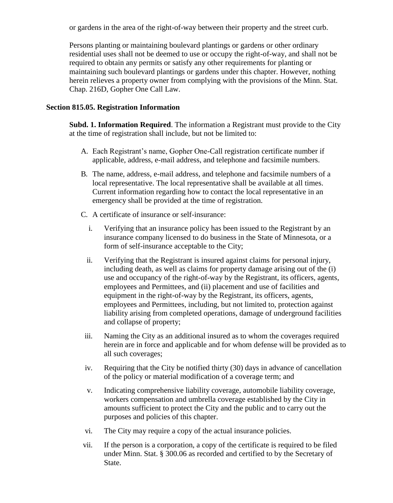or gardens in the area of the right-of-way between their property and the street curb.

Persons planting or maintaining boulevard plantings or gardens or other ordinary residential uses shall not be deemed to use or occupy the right-of-way, and shall not be required to obtain any permits or satisfy any other requirements for planting or maintaining such boulevard plantings or gardens under this chapter. However, nothing herein relieves a property owner from complying with the provisions of the Minn. Stat. Chap. 216D, Gopher One Call Law.

### **Section 815.05. Registration Information**

**Subd. 1. Information Required**. The information a Registrant must provide to the City at the time of registration shall include, but not be limited to:

- A. Each Registrant's name, Gopher One-Call registration certificate number if applicable, address, e-mail address, and telephone and facsimile numbers.
- B. The name, address, e-mail address, and telephone and facsimile numbers of a local representative. The local representative shall be available at all times. Current information regarding how to contact the local representative in an emergency shall be provided at the time of registration.
- C. A certificate of insurance or self-insurance:
	- i. Verifying that an insurance policy has been issued to the Registrant by an insurance company licensed to do business in the State of Minnesota, or a form of self-insurance acceptable to the City;
	- ii. Verifying that the Registrant is insured against claims for personal injury, including death, as well as claims for property damage arising out of the (i) use and occupancy of the right-of-way by the Registrant, its officers, agents, employees and Permittees, and (ii) placement and use of facilities and equipment in the right-of-way by the Registrant, its officers, agents, employees and Permittees, including, but not limited to, protection against liability arising from completed operations, damage of underground facilities and collapse of property;
- iii. Naming the City as an additional insured as to whom the coverages required herein are in force and applicable and for whom defense will be provided as to all such coverages;
- iv. Requiring that the City be notified thirty (30) days in advance of cancellation of the policy or material modification of a coverage term; and
- v. Indicating comprehensive liability coverage, automobile liability coverage, workers compensation and umbrella coverage established by the City in amounts sufficient to protect the City and the public and to carry out the purposes and policies of this chapter.
- vi. The City may require a copy of the actual insurance policies.
- vii. If the person is a corporation, a copy of the certificate is required to be filed under Minn. Stat. § 300.06 as recorded and certified to by the Secretary of State.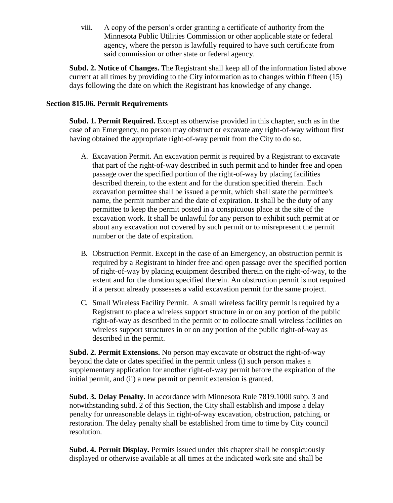viii. A copy of the person's order granting a certificate of authority from the Minnesota Public Utilities Commission or other applicable state or federal agency, where the person is lawfully required to have such certificate from said commission or other state or federal agency.

**Subd. 2. Notice of Changes.** The Registrant shall keep all of the information listed above current at all times by providing to the City information as to changes within fifteen (15) days following the date on which the Registrant has knowledge of any change.

### **Section 815.06. Permit Requirements**

**Subd. 1. Permit Required.** Except as otherwise provided in this chapter, such as in the case of an Emergency, no person may obstruct or excavate any right-of-way without first having obtained the appropriate right-of-way permit from the City to do so.

- A. Excavation Permit. An excavation permit is required by a Registrant to excavate that part of the right-of-way described in such permit and to hinder free and open passage over the specified portion of the right-of-way by placing facilities described therein, to the extent and for the duration specified therein. Each excavation permittee shall be issued a permit, which shall state the permittee's name, the permit number and the date of expiration. It shall be the duty of any permittee to keep the permit posted in a conspicuous place at the site of the excavation work. It shall be unlawful for any person to exhibit such permit at or about any excavation not covered by such permit or to misrepresent the permit number or the date of expiration.
- B. Obstruction Permit. Except in the case of an Emergency, an obstruction permit is required by a Registrant to hinder free and open passage over the specified portion of right-of-way by placing equipment described therein on the right-of-way, to the extent and for the duration specified therein. An obstruction permit is not required if a person already possesses a valid excavation permit for the same project.
- C. Small Wireless Facility Permit. A small wireless facility permit is required by a Registrant to place a wireless support structure in or on any portion of the public right-of-way as described in the permit or to collocate small wireless facilities on wireless support structures in or on any portion of the public right-of-way as described in the permit.

**Subd. 2. Permit Extensions.** No person may excavate or obstruct the right-of-way beyond the date or dates specified in the permit unless (i) such person makes a supplementary application for another right-of-way permit before the expiration of the initial permit, and (ii) a new permit or permit extension is granted.

**Subd. 3. Delay Penalty.** In accordance with Minnesota Rule 7819.1000 subp. 3 and notwithstanding subd. 2 of this Section, the City shall establish and impose a delay penalty for unreasonable delays in right-of-way excavation, obstruction, patching, or restoration. The delay penalty shall be established from time to time by City council resolution.

**Subd. 4. Permit Display.** Permits issued under this chapter shall be conspicuously displayed or otherwise available at all times at the indicated work site and shall be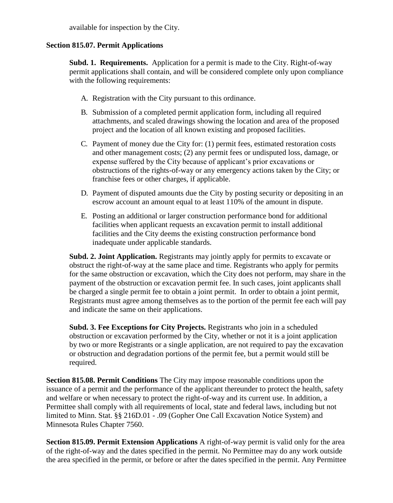available for inspection by the City.

## **Section 815.07. Permit Applications**

**Subd. 1. Requirements.** Application for a permit is made to the City. Right-of-way permit applications shall contain, and will be considered complete only upon compliance with the following requirements:

- A. Registration with the City pursuant to this ordinance.
- B. Submission of a completed permit application form, including all required attachments, and scaled drawings showing the location and area of the proposed project and the location of all known existing and proposed facilities.
- C. Payment of money due the City for: (1) permit fees, estimated restoration costs and other management costs; (2) any permit fees or undisputed loss, damage, or expense suffered by the City because of applicant's prior excavations or obstructions of the rights-of-way or any emergency actions taken by the City; or franchise fees or other charges, if applicable.
- D. Payment of disputed amounts due the City by posting security or depositing in an escrow account an amount equal to at least 110% of the amount in dispute.
- E. Posting an additional or larger construction performance bond for additional facilities when applicant requests an excavation permit to install additional facilities and the City deems the existing construction performance bond inadequate under applicable standards.

**Subd. 2. Joint Application.** Registrants may jointly apply for permits to excavate or obstruct the right-of-way at the same place and time. Registrants who apply for permits for the same obstruction or excavation, which the City does not perform, may share in the payment of the obstruction or excavation permit fee. In such cases, joint applicants shall be charged a single permit fee to obtain a joint permit. In order to obtain a joint permit, Registrants must agree among themselves as to the portion of the permit fee each will pay and indicate the same on their applications.

**Subd. 3. Fee Exceptions for City Projects.** Registrants who join in a scheduled obstruction or excavation performed by the City, whether or not it is a joint application by two or more Registrants or a single application, are not required to pay the excavation or obstruction and degradation portions of the permit fee, but a permit would still be required.

**Section 815.08. Permit Conditions** The City may impose reasonable conditions upon the issuance of a permit and the performance of the applicant thereunder to protect the health, safety and welfare or when necessary to protect the right-of-way and its current use. In addition, a Permittee shall comply with all requirements of local, state and federal laws, including but not limited to Minn. Stat. §§ 216D.01 - .09 (Gopher One Call Excavation Notice System) and Minnesota Rules Chapter 7560.

**Section 815.09. Permit Extension Applications** A right-of-way permit is valid only for the area of the right-of-way and the dates specified in the permit. No Permittee may do any work outside the area specified in the permit, or before or after the dates specified in the permit. Any Permittee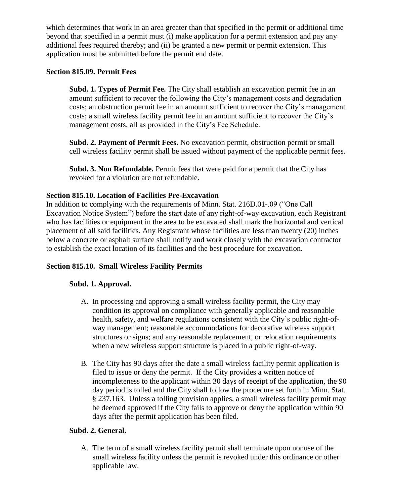which determines that work in an area greater than that specified in the permit or additional time beyond that specified in a permit must (i) make application for a permit extension and pay any additional fees required thereby; and (ii) be granted a new permit or permit extension. This application must be submitted before the permit end date.

## **Section 815.09. Permit Fees**

**Subd. 1. Types of Permit Fee.** The City shall establish an excavation permit fee in an amount sufficient to recover the following the City's management costs and degradation costs; an obstruction permit fee in an amount sufficient to recover the City's management costs; a small wireless facility permit fee in an amount sufficient to recover the City's management costs, all as provided in the City's Fee Schedule.

**Subd. 2. Payment of Permit Fees.** No excavation permit, obstruction permit or small cell wireless facility permit shall be issued without payment of the applicable permit fees.

**Subd. 3. Non Refundable.** Permit fees that were paid for a permit that the City has revoked for a violation are not refundable.

# **Section 815.10. Location of Facilities Pre-Excavation**

In addition to complying with the requirements of Minn. Stat. 216D.01-.09 ("One Call Excavation Notice System") before the start date of any right-of-way excavation, each Registrant who has facilities or equipment in the area to be excavated shall mark the horizontal and vertical placement of all said facilities. Any Registrant whose facilities are less than twenty (20) inches below a concrete or asphalt surface shall notify and work closely with the excavation contractor to establish the exact location of its facilities and the best procedure for excavation.

# **Section 815.10. Small Wireless Facility Permits**

## **Subd. 1. Approval.**

- A. In processing and approving a small wireless facility permit, the City may condition its approval on compliance with generally applicable and reasonable health, safety, and welfare regulations consistent with the City's public right-ofway management; reasonable accommodations for decorative wireless support structures or signs; and any reasonable replacement, or relocation requirements when a new wireless support structure is placed in a public right-of-way.
- B. The City has 90 days after the date a small wireless facility permit application is filed to issue or deny the permit. If the City provides a written notice of incompleteness to the applicant within 30 days of receipt of the application, the 90 day period is tolled and the City shall follow the procedure set forth in Minn. Stat. § 237.163. Unless a tolling provision applies, a small wireless facility permit may be deemed approved if the City fails to approve or deny the application within 90 days after the permit application has been filed.

## **Subd. 2. General.**

A. The term of a small wireless facility permit shall terminate upon nonuse of the small wireless facility unless the permit is revoked under this ordinance or other applicable law.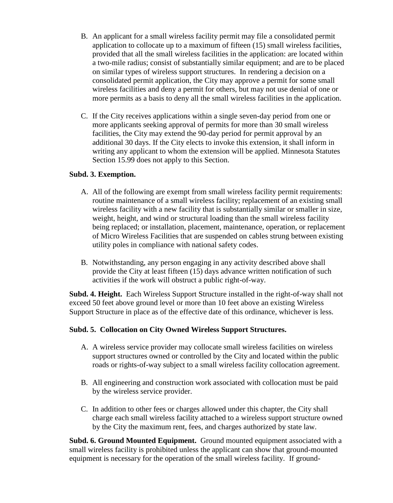- B. An applicant for a small wireless facility permit may file a consolidated permit application to collocate up to a maximum of fifteen (15) small wireless facilities, provided that all the small wireless facilities in the application: are located within a two-mile radius; consist of substantially similar equipment; and are to be placed on similar types of wireless support structures. In rendering a decision on a consolidated permit application, the City may approve a permit for some small wireless facilities and deny a permit for others, but may not use denial of one or more permits as a basis to deny all the small wireless facilities in the application.
- C. If the City receives applications within a single seven-day period from one or more applicants seeking approval of permits for more than 30 small wireless facilities, the City may extend the 90-day period for permit approval by an additional 30 days. If the City elects to invoke this extension, it shall inform in writing any applicant to whom the extension will be applied. Minnesota Statutes Section 15.99 does not apply to this Section.

## **Subd. 3. Exemption.**

- A. All of the following are exempt from small wireless facility permit requirements: routine maintenance of a small wireless facility; replacement of an existing small wireless facility with a new facility that is substantially similar or smaller in size, weight, height, and wind or structural loading than the small wireless facility being replaced; or installation, placement, maintenance, operation, or replacement of Micro Wireless Facilities that are suspended on cables strung between existing utility poles in compliance with national safety codes.
- B. Notwithstanding, any person engaging in any activity described above shall provide the City at least fifteen (15) days advance written notification of such activities if the work will obstruct a public right-of-way.

**Subd. 4. Height.** Each Wireless Support Structure installed in the right-of-way shall not exceed 50 feet above ground level or more than 10 feet above an existing Wireless Support Structure in place as of the effective date of this ordinance, whichever is less.

#### **Subd. 5. Collocation on City Owned Wireless Support Structures.**

- A. A wireless service provider may collocate small wireless facilities on wireless support structures owned or controlled by the City and located within the public roads or rights-of-way subject to a small wireless facility collocation agreement.
- B. All engineering and construction work associated with collocation must be paid by the wireless service provider.
- C. In addition to other fees or charges allowed under this chapter, the City shall charge each small wireless facility attached to a wireless support structure owned by the City the maximum rent, fees, and charges authorized by state law.

**Subd. 6. Ground Mounted Equipment.** Ground mounted equipment associated with a small wireless facility is prohibited unless the applicant can show that ground-mounted equipment is necessary for the operation of the small wireless facility. If ground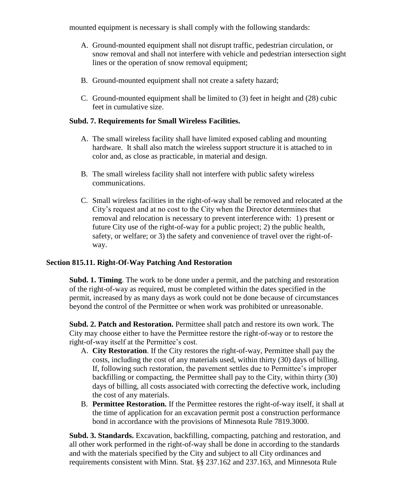mounted equipment is necessary is shall comply with the following standards:

- A. Ground-mounted equipment shall not disrupt traffic, pedestrian circulation, or snow removal and shall not interfere with vehicle and pedestrian intersection sight lines or the operation of snow removal equipment;
- B. Ground-mounted equipment shall not create a safety hazard;
- C. Ground-mounted equipment shall be limited to (3) feet in height and (28) cubic feet in cumulative size.

### **Subd. 7. Requirements for Small Wireless Facilities.**

- A. The small wireless facility shall have limited exposed cabling and mounting hardware. It shall also match the wireless support structure it is attached to in color and, as close as practicable, in material and design.
- B. The small wireless facility shall not interfere with public safety wireless communications.
- C. Small wireless facilities in the right-of-way shall be removed and relocated at the City's request and at no cost to the City when the Director determines that removal and relocation is necessary to prevent interference with: 1) present or future City use of the right-of-way for a public project; 2) the public health, safety, or welfare; or 3) the safety and convenience of travel over the right-ofway.

#### **Section 815.11. Right-Of-Way Patching And Restoration**

**Subd. 1. Timing**. The work to be done under a permit, and the patching and restoration of the right-of-way as required, must be completed within the dates specified in the permit, increased by as many days as work could not be done because of circumstances beyond the control of the Permittee or when work was prohibited or unreasonable.

**Subd. 2. Patch and Restoration.** Permittee shall patch and restore its own work. The City may choose either to have the Permittee restore the right-of-way or to restore the right-of-way itself at the Permittee's cost.

- A. **City Restoration**. If the City restores the right-of-way, Permittee shall pay the costs, including the cost of any materials used, within thirty (30) days of billing. If, following such restoration, the pavement settles due to Permittee's improper backfilling or compacting, the Permittee shall pay to the City, within thirty (30) days of billing, all costs associated with correcting the defective work, including the cost of any materials.
- B. **Permittee Restoration.** If the Permittee restores the right-of-way itself, it shall at the time of application for an excavation permit post a construction performance bond in accordance with the provisions of Minnesota Rule 7819.3000.

**Subd. 3. Standards.** Excavation, backfilling, compacting, patching and restoration, and all other work performed in the right-of-way shall be done in according to the standards and with the materials specified by the City and subject to all City ordinances and requirements consistent with Minn. Stat. §§ 237.162 and 237.163, and Minnesota Rule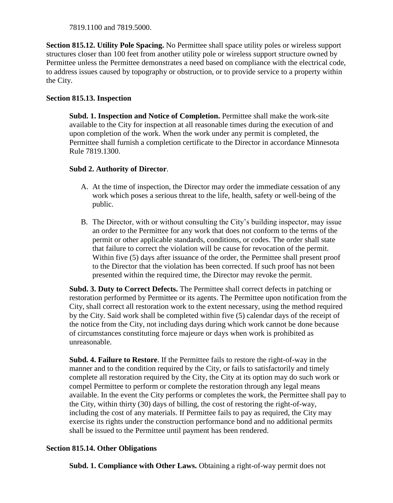7819.1100 and 7819.5000.

**Section 815.12. Utility Pole Spacing.** No Permittee shall space utility poles or wireless support structures closer than 100 feet from another utility pole or wireless support structure owned by Permittee unless the Permittee demonstrates a need based on compliance with the electrical code, to address issues caused by topography or obstruction, or to provide service to a property within the City.

# **Section 815.13. Inspection**

**Subd. 1. Inspection and Notice of Completion.** Permittee shall make the work-site available to the City for inspection at all reasonable times during the execution of and upon completion of the work. When the work under any permit is completed, the Permittee shall furnish a completion certificate to the Director in accordance Minnesota Rule 7819.1300.

# **Subd 2. Authority of Director**.

- A. At the time of inspection, the Director may order the immediate cessation of any work which poses a serious threat to the life, health, safety or well-being of the public.
- B. The Director, with or without consulting the City's building inspector, may issue an order to the Permittee for any work that does not conform to the terms of the permit or other applicable standards, conditions, or codes. The order shall state that failure to correct the violation will be cause for revocation of the permit. Within five (5) days after issuance of the order, the Permittee shall present proof to the Director that the violation has been corrected. If such proof has not been presented within the required time, the Director may revoke the permit.

**Subd. 3. Duty to Correct Defects.** The Permittee shall correct defects in patching or restoration performed by Permittee or its agents. The Permittee upon notification from the City, shall correct all restoration work to the extent necessary, using the method required by the City. Said work shall be completed within five (5) calendar days of the receipt of the notice from the City, not including days during which work cannot be done because of circumstances constituting force majeure or days when work is prohibited as unreasonable.

**Subd. 4. Failure to Restore**. If the Permittee fails to restore the right-of-way in the manner and to the condition required by the City, or fails to satisfactorily and timely complete all restoration required by the City, the City at its option may do such work or compel Permittee to perform or complete the restoration through any legal means available. In the event the City performs or completes the work, the Permittee shall pay to the City, within thirty (30) days of billing, the cost of restoring the right-of-way, including the cost of any materials. If Permittee fails to pay as required, the City may exercise its rights under the construction performance bond and no additional permits shall be issued to the Permittee until payment has been rendered.

# **Section 815.14. Other Obligations**

**Subd. 1. Compliance with Other Laws.** Obtaining a right-of-way permit does not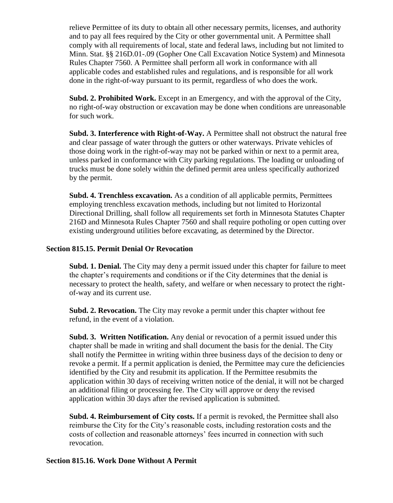relieve Permittee of its duty to obtain all other necessary permits, licenses, and authority and to pay all fees required by the City or other governmental unit. A Permittee shall comply with all requirements of local, state and federal laws, including but not limited to Minn. Stat. §§ 216D.01-.09 (Gopher One Call Excavation Notice System) and Minnesota Rules Chapter 7560. A Permittee shall perform all work in conformance with all applicable codes and established rules and regulations, and is responsible for all work done in the right-of-way pursuant to its permit, regardless of who does the work.

**Subd. 2. Prohibited Work.** Except in an Emergency, and with the approval of the City, no right-of-way obstruction or excavation may be done when conditions are unreasonable for such work.

**Subd. 3. Interference with Right-of-Way.** A Permittee shall not obstruct the natural free and clear passage of water through the gutters or other waterways. Private vehicles of those doing work in the right-of-way may not be parked within or next to a permit area, unless parked in conformance with City parking regulations. The loading or unloading of trucks must be done solely within the defined permit area unless specifically authorized by the permit.

**Subd. 4. Trenchless excavation.** As a condition of all applicable permits, Permittees employing trenchless excavation methods, including but not limited to Horizontal Directional Drilling, shall follow all requirements set forth in Minnesota Statutes Chapter 216D and Minnesota Rules Chapter 7560 and shall require potholing or open cutting over existing underground utilities before excavating, as determined by the Director.

### **Section 815.15. Permit Denial Or Revocation**

**Subd. 1. Denial.** The City may deny a permit issued under this chapter for failure to meet the chapter's requirements and conditions or if the City determines that the denial is necessary to protect the health, safety, and welfare or when necessary to protect the rightof-way and its current use.

**Subd. 2. Revocation.** The City may revoke a permit under this chapter without fee refund, in the event of a violation.

**Subd. 3. Written Notification.** Any denial or revocation of a permit issued under this chapter shall be made in writing and shall document the basis for the denial. The City shall notify the Permittee in writing within three business days of the decision to deny or revoke a permit. If a permit application is denied, the Permittee may cure the deficiencies identified by the City and resubmit its application. If the Permittee resubmits the application within 30 days of receiving written notice of the denial, it will not be charged an additional filing or processing fee. The City will approve or deny the revised application within 30 days after the revised application is submitted.

**Subd. 4. Reimbursement of City costs.** If a permit is revoked, the Permittee shall also reimburse the City for the City's reasonable costs, including restoration costs and the costs of collection and reasonable attorneys' fees incurred in connection with such revocation.

### **Section 815.16. Work Done Without A Permit**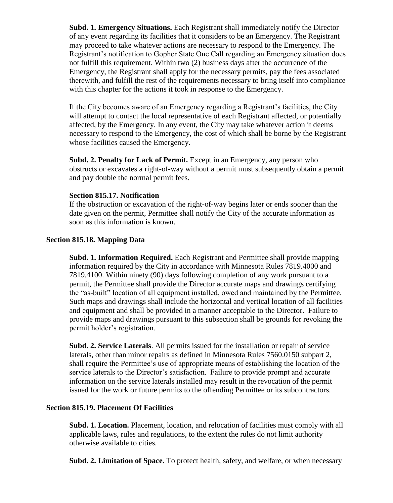**Subd. 1. Emergency Situations.** Each Registrant shall immediately notify the Director of any event regarding its facilities that it considers to be an Emergency. The Registrant may proceed to take whatever actions are necessary to respond to the Emergency. The Registrant's notification to Gopher State One Call regarding an Emergency situation does not fulfill this requirement. Within two (2) business days after the occurrence of the Emergency, the Registrant shall apply for the necessary permits, pay the fees associated therewith, and fulfill the rest of the requirements necessary to bring itself into compliance with this chapter for the actions it took in response to the Emergency.

If the City becomes aware of an Emergency regarding a Registrant's facilities, the City will attempt to contact the local representative of each Registrant affected, or potentially affected, by the Emergency. In any event, the City may take whatever action it deems necessary to respond to the Emergency, the cost of which shall be borne by the Registrant whose facilities caused the Emergency.

**Subd. 2. Penalty for Lack of Permit.** Except in an Emergency, any person who obstructs or excavates a right-of-way without a permit must subsequently obtain a permit and pay double the normal permit fees.

#### **Section 815.17. Notification**

If the obstruction or excavation of the right-of-way begins later or ends sooner than the date given on the permit, Permittee shall notify the City of the accurate information as soon as this information is known.

## **Section 815.18. Mapping Data**

**Subd. 1. Information Required.** Each Registrant and Permittee shall provide mapping information required by the City in accordance with Minnesota Rules 7819.4000 and 7819.4100. Within ninety (90) days following completion of any work pursuant to a permit, the Permittee shall provide the Director accurate maps and drawings certifying the "as-built" location of all equipment installed, owed and maintained by the Permittee. Such maps and drawings shall include the horizontal and vertical location of all facilities and equipment and shall be provided in a manner acceptable to the Director. Failure to provide maps and drawings pursuant to this subsection shall be grounds for revoking the permit holder's registration.

**Subd. 2. Service Laterals**. All permits issued for the installation or repair of service laterals, other than minor repairs as defined in Minnesota Rules 7560.0150 subpart 2, shall require the Permittee's use of appropriate means of establishing the location of the service laterals to the Director's satisfaction. Failure to provide prompt and accurate information on the service laterals installed may result in the revocation of the permit issued for the work or future permits to the offending Permittee or its subcontractors.

## **Section 815.19. Placement Of Facilities**

**Subd. 1. Location.** Placement, location, and relocation of facilities must comply with all applicable laws, rules and regulations, to the extent the rules do not limit authority otherwise available to cities.

**Subd. 2. Limitation of Space.** To protect health, safety, and welfare, or when necessary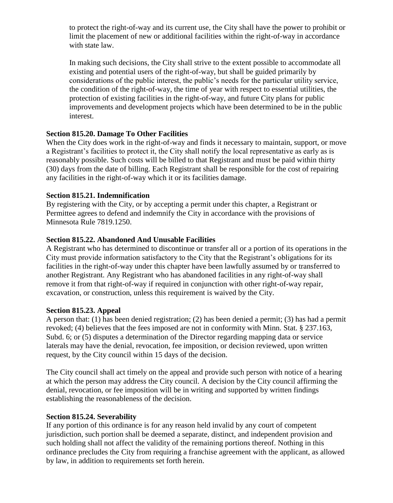to protect the right-of-way and its current use, the City shall have the power to prohibit or limit the placement of new or additional facilities within the right-of-way in accordance with state law.

In making such decisions, the City shall strive to the extent possible to accommodate all existing and potential users of the right-of-way, but shall be guided primarily by considerations of the public interest, the public's needs for the particular utility service, the condition of the right-of-way, the time of year with respect to essential utilities, the protection of existing facilities in the right-of-way, and future City plans for public improvements and development projects which have been determined to be in the public interest.

## **Section 815.20. Damage To Other Facilities**

When the City does work in the right-of-way and finds it necessary to maintain, support, or move a Registrant's facilities to protect it, the City shall notify the local representative as early as is reasonably possible. Such costs will be billed to that Registrant and must be paid within thirty (30) days from the date of billing. Each Registrant shall be responsible for the cost of repairing any facilities in the right-of-way which it or its facilities damage.

### **Section 815.21. Indemnification**

By registering with the City, or by accepting a permit under this chapter, a Registrant or Permittee agrees to defend and indemnify the City in accordance with the provisions of Minnesota Rule 7819.1250.

## **Section 815.22. Abandoned And Unusable Facilities**

A Registrant who has determined to discontinue or transfer all or a portion of its operations in the City must provide information satisfactory to the City that the Registrant's obligations for its facilities in the right-of-way under this chapter have been lawfully assumed by or transferred to another Registrant. Any Registrant who has abandoned facilities in any right-of-way shall remove it from that right-of-way if required in conjunction with other right-of-way repair, excavation, or construction, unless this requirement is waived by the City.

#### **Section 815.23. Appeal**

A person that: (1) has been denied registration; (2) has been denied a permit; (3) has had a permit revoked; (4) believes that the fees imposed are not in conformity with Minn. Stat. § 237.163, Subd. 6; or (5) disputes a determination of the Director regarding mapping data or service laterals may have the denial, revocation, fee imposition, or decision reviewed, upon written request, by the City council within 15 days of the decision.

The City council shall act timely on the appeal and provide such person with notice of a hearing at which the person may address the City council. A decision by the City council affirming the denial, revocation, or fee imposition will be in writing and supported by written findings establishing the reasonableness of the decision.

#### **Section 815.24. Severability**

If any portion of this ordinance is for any reason held invalid by any court of competent jurisdiction, such portion shall be deemed a separate, distinct, and independent provision and such holding shall not affect the validity of the remaining portions thereof. Nothing in this ordinance precludes the City from requiring a franchise agreement with the applicant, as allowed by law, in addition to requirements set forth herein.